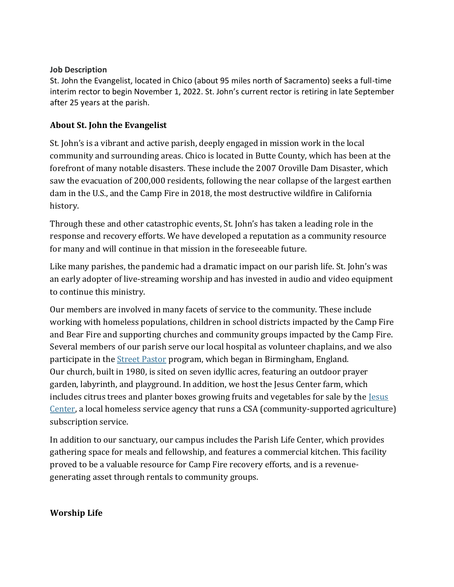#### **Job Description**

St. John the Evangelist, located in Chico (about 95 miles north of Sacramento) seeks a full-time interim rector to begin November 1, 2022. St. John's current rector is retiring in late September after 25 years at the parish.

### **About St. John the Evangelist**

St. John's is a vibrant and active parish, deeply engaged in mission work in the local community and surrounding areas. Chico is located in Butte County, which has been at the forefront of many notable disasters. These include the 2007 Oroville Dam Disaster, which saw the evacuation of 200,000 residents, following the near collapse of the largest earthen dam in the U.S., and the Camp Fire in 2018, the most destructive wildfire in California history.

Through these and other catastrophic events, St. John's has taken a leading role in the response and recovery efforts. We have developed a reputation as a community resource for many and will continue in that mission in the foreseeable future.

Like many parishes, the pandemic had a dramatic impact on our parish life. St. John's was an early adopter of live-streaming worship and has invested in audio and video equipment to continue this ministry.

Our members are involved in many facets of service to the community. These include working with homeless populations, children in school districts impacted by the Camp Fire and Bear Fire and supporting churches and community groups impacted by the Camp Fire. Several members of our parish serve our local hospital as volunteer chaplains, and we also participate in the Street [Pastor](https://nam11.safelinks.protection.outlook.com/?url=https%3A%2F%2Fwww.streetpastors.org%2F&data=05%7C01%7Censforms%40episcopalchurch.org%7Ca1afdde77ca24435e25c08da5331e985%7Ca61a1be800f1406689423558df189805%7C0%7C0%7C637913771090369783%7CUnknown%7CTWFpbGZsb3d8eyJWIjoiMC4wLjAwMDAiLCJQIjoiV2luMzIiLCJBTiI6Ik1haWwiLCJXVCI6Mn0%3D%7C3000%7C%7C%7C&sdata=6IjDr9MPvyHt36Df%2BcSr2jniznnsd%2FoNeGooQkdlXPY%3D&reserved=0) program, which began in Birmingham, England. Our church, built in 1980, is sited on seven idyllic acres, featuring an outdoor prayer garden, labyrinth, and playground. In addition, we host the Jesus Center farm, which includes citrus trees and planter boxes growing fruits and vegetables for sale by the [Jesus](https://nam11.safelinks.protection.outlook.com/?url=https%3A%2F%2Fjesuscenter.org%2F&data=05%7C01%7Censforms%40episcopalchurch.org%7Ca1afdde77ca24435e25c08da5331e985%7Ca61a1be800f1406689423558df189805%7C0%7C0%7C637913771090369783%7CUnknown%7CTWFpbGZsb3d8eyJWIjoiMC4wLjAwMDAiLCJQIjoiV2luMzIiLCJBTiI6Ik1haWwiLCJXVCI6Mn0%3D%7C3000%7C%7C%7C&sdata=wPVEL%2BZKNsew8fJmKJ%2BJvc0kbGDJA8XBAf20YGQm438%3D&reserved=0) [Center,](https://nam11.safelinks.protection.outlook.com/?url=https%3A%2F%2Fjesuscenter.org%2F&data=05%7C01%7Censforms%40episcopalchurch.org%7Ca1afdde77ca24435e25c08da5331e985%7Ca61a1be800f1406689423558df189805%7C0%7C0%7C637913771090369783%7CUnknown%7CTWFpbGZsb3d8eyJWIjoiMC4wLjAwMDAiLCJQIjoiV2luMzIiLCJBTiI6Ik1haWwiLCJXVCI6Mn0%3D%7C3000%7C%7C%7C&sdata=wPVEL%2BZKNsew8fJmKJ%2BJvc0kbGDJA8XBAf20YGQm438%3D&reserved=0) a local homeless service agency that runs a CSA (community-supported agriculture) subscription service.

In addition to our sanctuary, our campus includes the Parish Life Center, which provides gathering space for meals and fellowship, and features a commercial kitchen. This facility proved to be a valuable resource for Camp Fire recovery efforts, and is a revenuegenerating asset through rentals to community groups.

### **Worship Life**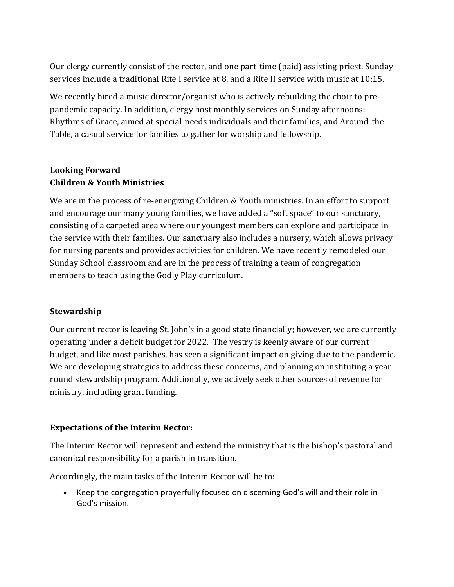Our clergy currently consist of the rector, and one part-time (paid) assisting priest. Sunday services include a traditional Rite I service at 8, and a Rite II service with music at 10:15.

We recently hired a music director/organist who is actively rebuilding the choir to prepandemic capacity. In addition, clergy host monthly services on Sunday afternoons: Rhythms of Grace, aimed at special-needs individuals and their families, and Around-the-Table, a casual service for families to gather for worship and fellowship.

## **Looking Forward Children & Youth Ministries**

We are in the process of re-energizing Children & Youth ministries. In an effort to support and encourage our many young families, we have added a "soft space" to our sanctuary, consisting of a carpeted area where our youngest members can explore and participate in the service with their families. Our sanctuary also includes a nursery, which allows privacy for nursing parents and provides activities for children. We have recently remodeled our Sunday School classroom and are in the process of training a team of congregation members to teach using the Godly Play curriculum.

### **Stewardship**

Our current rector is leaving St. John's in a good state financially; however, we are currently operating under a deficit budget for 2022. The vestry is keenly aware of our current budget, and like most parishes, has seen a significant impact on giving due to the pandemic. We are developing strategies to address these concerns, and planning on instituting a yearround stewardship program. Additionally, we actively seek other sources of revenue for ministry, including grant funding.

### **Expectations of the Interim Rector:**

The Interim Rector will represent and extend the ministry that is the bishop's pastoral and canonical responsibility for a parish in transition.

Accordingly, the main tasks of the Interim Rector will be to:

• Keep the congregation prayerfully focused on discerning God's will and their role in God's mission.